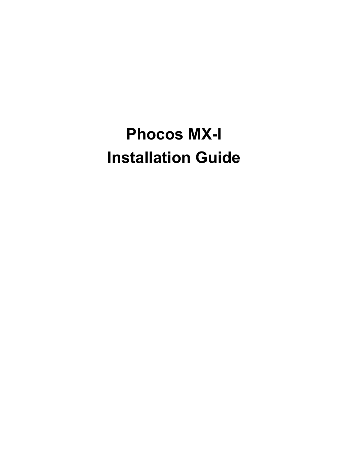# **Phocos MX-I Installation Guide**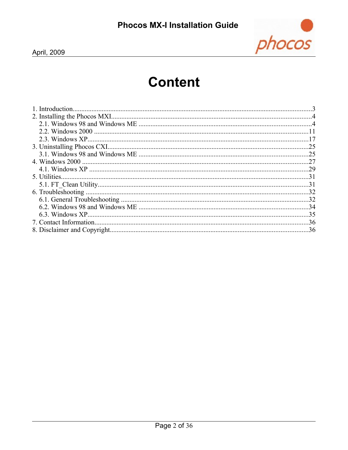

# **Content**

| .25 |
|-----|
| .25 |
|     |
|     |
| .31 |
|     |
|     |
|     |
|     |
|     |
|     |
|     |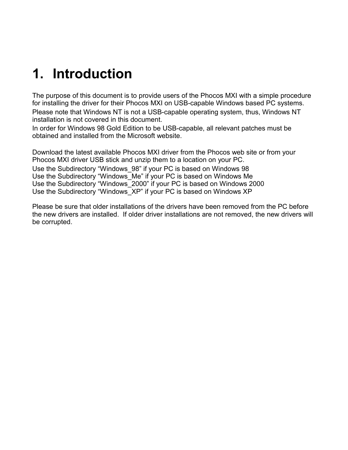# **1. Introduction**

The purpose of this document is to provide users of the Phocos MXI with a simple procedure for installing the driver for their Phocos MXI on USB-capable Windows based PC systems. Please note that Windows NT is not a USB-capable operating system, thus, Windows NT installation is not covered in this document.

In order for Windows 98 Gold Edition to be USB-capable, all relevant patches must be obtained and installed from the Microsoft website.

Download the latest available Phocos MXI driver from the Phocos web site or from your Phocos MXI driver USB stick and unzip them to a location on your PC. Use the Subdirectory "Windows\_98" if your PC is based on Windows 98 Use the Subdirectory "Windows\_Me" if your PC is based on Windows Me Use the Subdirectory "Windows\_2000" if your PC is based on Windows 2000 Use the Subdirectory "Windows\_XP" if your PC is based on Windows XP

Please be sure that older installations of the drivers have been removed from the PC before the new drivers are installed. If older driver installations are not removed, the new drivers will be corrupted.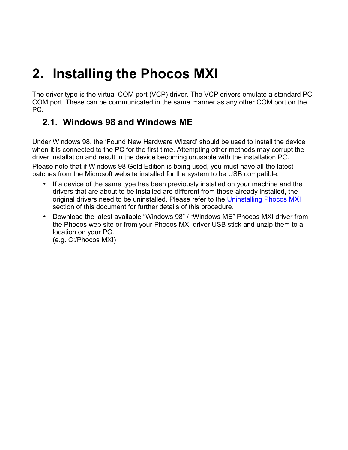# <span id="page-3-0"></span>**2. Installing the Phocos MXI**

The driver type is the virtual COM port (VCP) driver. The VCP drivers emulate a standard PC COM port. These can be communicated in the same manner as any other COM port on the PC.

# **2.1. Windows 98 and Windows ME**

Under Windows 98, the 'Found New Hardware Wizard' should be used to install the device when it is connected to the PC for the first time. Attempting other methods may corrupt the driver installation and result in the device becoming unusable with the installation PC. Please note that if Windows 98 Gold Edition is being used, you must have all the latest patches from the Microsoft website installed for the system to be USB compatible.

- If a device of the same type has been previously installed on your machine and the drivers that are about to be installed are different from those already installed, the original drivers need to be uninstalled. Please refer to the [Uninstalling Phocos MXI](#page-24-0) section of this document for further details of this procedure.
- Download the latest available "Windows 98" / "Windows ME" Phocos MXI driver from the Phocos web site or from your Phocos MXI driver USB stick and unzip them to a location on your PC. (e.g. C:/Phocos MXI)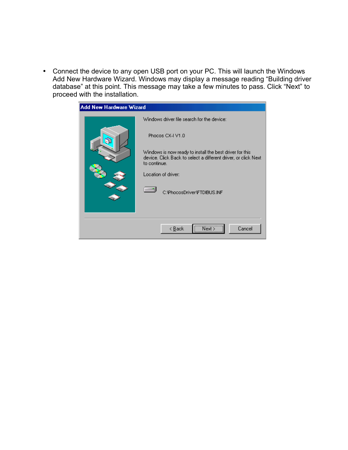• Connect the device to any open USB port on your PC. This will launch the Windows Add New Hardware Wizard. Windows may display a message reading "Building driver database" at this point. This message may take a few minutes to pass. Click "Next" to proceed with the installation.

| <b>Add New Hardware Wizard</b> |                                                                                                                                            |
|--------------------------------|--------------------------------------------------------------------------------------------------------------------------------------------|
|                                | Windows driver file search for the device:                                                                                                 |
|                                | Phocos CX-I V1.0                                                                                                                           |
|                                | Windows is now ready to install the best driver for this<br>device. Click Back to select a different driver, or click Next<br>to continue. |
|                                | Location of driver:                                                                                                                        |
|                                | C:\PhocosDriver\FTDIBUS.INF                                                                                                                |
|                                |                                                                                                                                            |
|                                | Cancel<br>< <u>B</u> ack                                                                                                                   |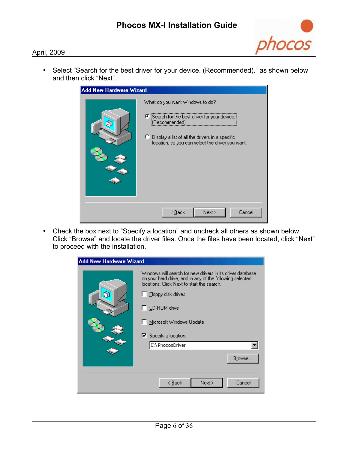

• Select "Search for the best driver for your device. (Recommended)." as shown below and then click "Next".

| <b>Add New Hardware Wizard</b> |                                                                                                                                                                                                             |  |
|--------------------------------|-------------------------------------------------------------------------------------------------------------------------------------------------------------------------------------------------------------|--|
|                                | What do you want Windows to do?<br>● Search for the best driver for your device.<br>(Recommended).<br>C Display a list of all the drivers in a specific<br>location, so you can select the driver you want. |  |
|                                | Next ><br>Cancel<br>< <u>B</u> ack                                                                                                                                                                          |  |

• Check the box next to "Specify a location" and uncheck all others as shown below. Click "Browse" and locate the driver files. Once the files have been located, click "Next" to proceed with the installation.

| Add New Hardware Wizard |                                                                                                                                                                                                                                                                                                                    |
|-------------------------|--------------------------------------------------------------------------------------------------------------------------------------------------------------------------------------------------------------------------------------------------------------------------------------------------------------------|
| a                       | Windows will search for new drivers in its driver database.<br>on your hard drive, and in any of the following selected<br>locations. Click Next to start the search.<br>$\Box$ Eloppy disk drives<br>$\Box$ CD-ROM drive<br>Microsoft Windows Update<br>$\nabla$ Specify a location:<br>C:\PhocosDriver<br>Browse |
|                         | Next ><br>Cancel<br>< <u>B</u> ack                                                                                                                                                                                                                                                                                 |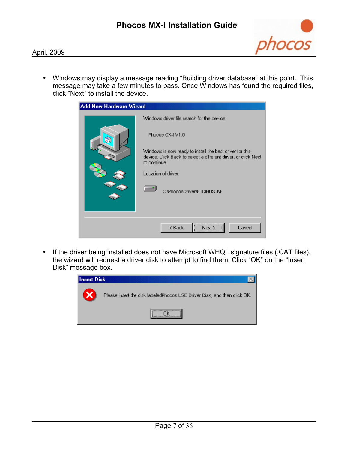

• Windows may display a message reading "Building driver database" at this point. This message may take a few minutes to pass. Once Windows has found the required files, click "Next" to install the device.

| <b>Add New Hardware Wizard</b> |                                                                                                                                            |
|--------------------------------|--------------------------------------------------------------------------------------------------------------------------------------------|
|                                | Windows driver file search for the device:                                                                                                 |
|                                | Phocos CX-I V1.0                                                                                                                           |
|                                | Windows is now ready to install the best driver for this<br>device. Click Back to select a different driver, or click Next<br>to continue. |
|                                | Location of driver:                                                                                                                        |
|                                | C:\PhocosDriver\FTDIBUS.INF                                                                                                                |
|                                |                                                                                                                                            |
|                                | Cancel<br>$\leq$ $\underline{B}$ ack                                                                                                       |

• If the driver being installed does not have Microsoft WHQL signature files (.CAT files), the wizard will request a driver disk to attempt to find them. Click "OK" on the "Insert Disk" message box.

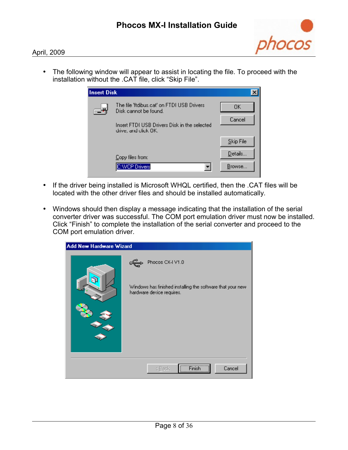

• The following window will appear to assist in locating the file. To proceed with the installation without the .CAT file, click "Skip File".

| <b>Insert Disk</b> |                                                                      |           |
|--------------------|----------------------------------------------------------------------|-----------|
|                    | The file 'ftdibus.cat' on FTDI USB Drivers<br>Disk cannot be found.  | 0K.       |
|                    | Insert FTDI USB Drivers Disk in the selected<br>drive, and click OK. | Cancel    |
|                    |                                                                      | Skip File |
|                    | Copy files from:                                                     | Details   |
|                    | <b>C:WCP Drivers</b>                                                 | Browse    |

- If the driver being installed is Microsoft WHQL certified, then the .CAT files will be located with the other driver files and should be installed automatically.
- Windows should then display a message indicating that the installation of the serial converter driver was successful. The COM port emulation driver must now be installed. Click "Finish" to complete the installation of the serial converter and proceed to the COM port emulation driver.

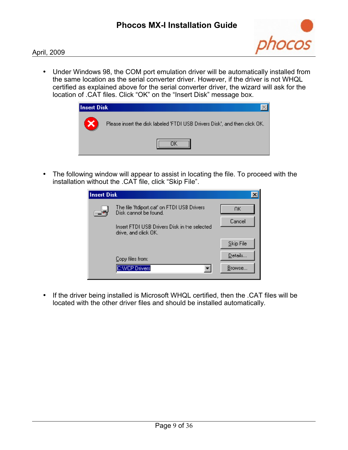

• Under Windows 98, the COM port emulation driver will be automatically installed from the same location as the serial converter driver. However, if the driver is not WHQL certified as explained above for the serial converter driver, the wizard will ask for the location of .CAT files. Click "OK" on the "Insert Disk" message box.



• The following window will appear to assist in locating the file. To proceed with the installation without the .CAT file, click "Skip File".

| <b>Insert Disk</b> |                                                                      |            |
|--------------------|----------------------------------------------------------------------|------------|
|                    | The file 'ftdiport.cat' on FTDI USB Drivers<br>Disk cannot be found. | ПK         |
|                    | Insert FTDI USB Drivers Disk in the selected<br>drive, and click OK. | Cancel     |
|                    |                                                                      | Skip File  |
|                    | Copy files from:                                                     | $D$ etails |
|                    | <b>C:WCP Drivers</b>                                                 | Browse     |

• If the driver being installed is Microsoft WHQL certified, then the .CAT files will be located with the other driver files and should be installed automatically.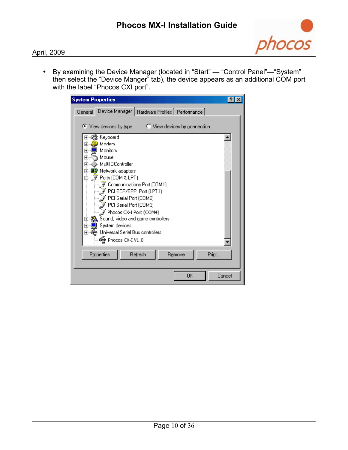

• By examining the Device Manager (located in "Start" — "Control Panel"—"System" then select the "Device Manger" tab), the device appears as an additional COM port with the label "Phocos CXI port".

| <b>System Properties</b>                                       |        |
|----------------------------------------------------------------|--------|
| Device Manager   Hardware Profiles   Performance  <br>General  |        |
|                                                                |        |
| $\bullet$ View devices by type<br>C View devices by connection |        |
| 没 Keyboard<br>+                                                |        |
| Modem<br>田                                                     |        |
| Monitors<br>$\overline{+}$                                     |        |
| Mouse<br>$\overline{+}$                                        |        |
| MultilOController<br>ஈ                                         |        |
| <b>團 Network adapters</b><br>曱                                 |        |
| 白… Jy Ports (COM & LPT)                                        |        |
| Communications Port (COM1)                                     |        |
| $\mathcal Y$ PCI ECP/EPP Port (LPT1)<br>PCI Serial Port (COM2) |        |
| PCI Serial Port (COM3)                                         |        |
| $\mathcal Y$ Phocos CX-I Port (COM4)                           |        |
| Sound, video and game controllers<br>$\overline{+}$            |        |
| System devices<br>$\overline{+}$                               |        |
| Universal Serial Bus controllers<br>$\overline{+}$             |        |
| <del>ද</del> ු Phocos CX-I V1.0                                |        |
|                                                                |        |
| Refresh<br>Properties<br>Remove<br>Print                       |        |
|                                                                |        |
|                                                                |        |
| OK                                                             | Cancel |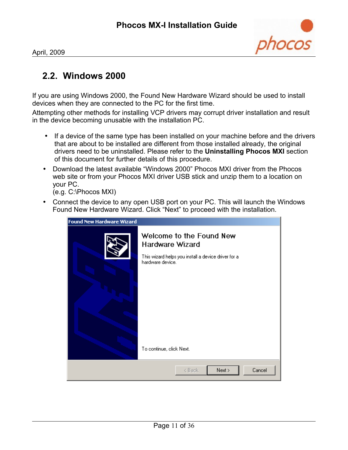

## **2.2. Windows 2000**

If you are using Windows 2000, the Found New Hardware Wizard should be used to install devices when they are connected to the PC for the first time.

Attempting other methods for installing VCP drivers may corrupt driver installation and result in the device becoming unusable with the installation PC.

- If a device of the same type has been installed on your machine before and the drivers that are about to be installed are different from those installed already, the original drivers need to be uninstalled. Please refer to the **Uninstalling Phocos MXI** section of this document for further details of this procedure.
- Download the latest available "Windows 2000" Phocos MXI driver from the Phocos web site or from your Phocos MXI driver USB stick and unzip them to a location on your PC.

(e.g. C:\Phocos MXI)

• Connect the device to any open USB port on your PC. This will launch the Windows Found New Hardware Wizard. Click "Next" to proceed with the installation.

| <b>Found New Hardware Wizard</b> |                                                                                                                                                    |  |
|----------------------------------|----------------------------------------------------------------------------------------------------------------------------------------------------|--|
|                                  | Welcome to the Found New<br>Hardware Wizard<br>This wizard helps you install a device driver for a<br>hardware device.<br>To continue, click Next. |  |
|                                  | Next<br>Cancel<br>< Back                                                                                                                           |  |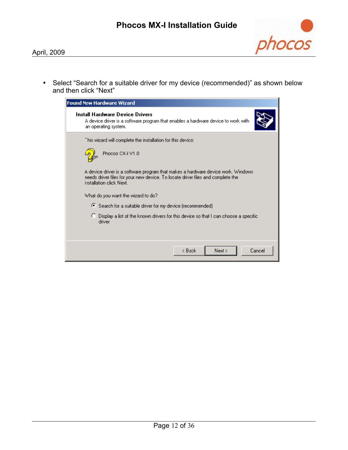

• Select "Search for a suitable driver for my device (recommended)" as shown below and then click "Next"

| <b>Found New Hardware Wizard</b>                                                                                                                                                                |
|-------------------------------------------------------------------------------------------------------------------------------------------------------------------------------------------------|
| Install Hardware Device Drivers<br>A device driver is a software program that enables a hardware device to work with<br>an operating system.                                                    |
| This wizard will complete the installation for this device:                                                                                                                                     |
| Phocos CX-I V1.0                                                                                                                                                                                |
| A device driver is a software program that makes a hardware device work. Windows<br>needs driver files for your new device. To locate driver files and complete the<br>installation click Next. |
| What do you want the wizard to do?                                                                                                                                                              |
| Search for a suitable driver for my device (recommended)                                                                                                                                        |
| ○ Display a list of the known drivers for this device so that I can choose a specific<br>driver                                                                                                 |
|                                                                                                                                                                                                 |
| Cancel<br>k Back<br>Next >                                                                                                                                                                      |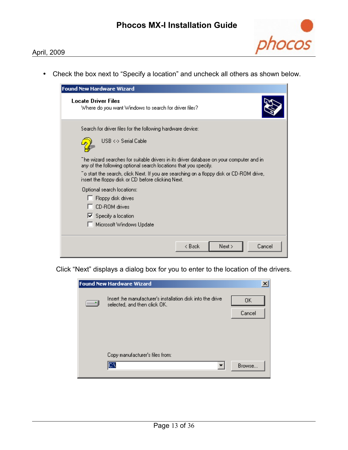

• Check the box next to "Specify a location" and uncheck all others as shown below.

| <b>Found New Hardware Wizard</b>                                                                                                                            |
|-------------------------------------------------------------------------------------------------------------------------------------------------------------|
| <b>Locate Driver Files</b><br>Where do you want Windows to search for driver files?                                                                         |
| Search for driver files for the following hardware device:                                                                                                  |
| USB <-> Serial Cable                                                                                                                                        |
| The wizard searches for suitable drivers in its driver database on your computer and in<br>any of the following optional search locations that you specify. |
| To start the search, click Next. If you are searching on a floppy disk or CD-ROM drive, "<br>insert the floppy disk or CD before clicking Next.             |
| Optional search locations:                                                                                                                                  |
| Floppy disk drives                                                                                                                                          |
| <b>CD-ROM</b> drives                                                                                                                                        |
| $\nabla$ Specify a location                                                                                                                                 |
| Microsoft Windows Update                                                                                                                                    |
| Cancel<br>k Back<br>Next                                                                                                                                    |

Click "Next" displays a dialog box for you to enter to the location of the drivers.

| <b>Found New Hardware Wizard</b>                                                           |              | × |
|--------------------------------------------------------------------------------------------|--------------|---|
| Insert the manufacturer's installation disk into the drive<br>selected, and then click OK. | 0K<br>Cancel |   |
| Copy manufacturer's files from:<br>C.                                                      | Browse       |   |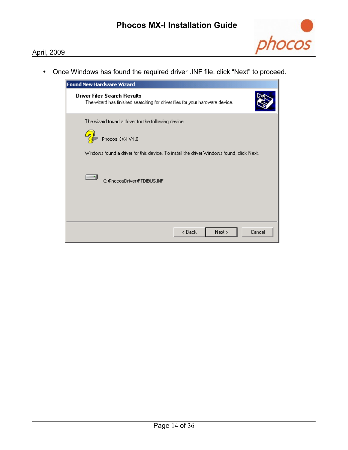

• Once Windows has found the required driver .INF file, click "Next" to proceed.

| <b>Found New Hardware Wizard</b>                                                                                   |
|--------------------------------------------------------------------------------------------------------------------|
| <b>Driver Files Search Results</b><br>The wizard has finished searching for driver files for your hardware device. |
| The wizard found a driver for the following device:<br>Phocos CX-I V1.0                                            |
| Windows found a driver for this device. To install the driver Windows found, click Next.                           |
| C:\PhocosDriver\FTDIBUS.INF                                                                                        |
|                                                                                                                    |
| Cancel<br>< Back<br>Next >                                                                                         |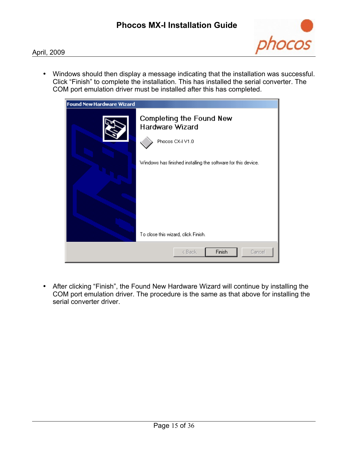

• Windows should then display a message indicating that the installation was successful. Click "Finish" to complete the installation. This has installed the serial converter. The COM port emulation driver must be installed after this has completed.



• After clicking "Finish", the Found New Hardware Wizard will continue by installing the COM port emulation driver. The procedure is the same as that above for installing the serial converter driver.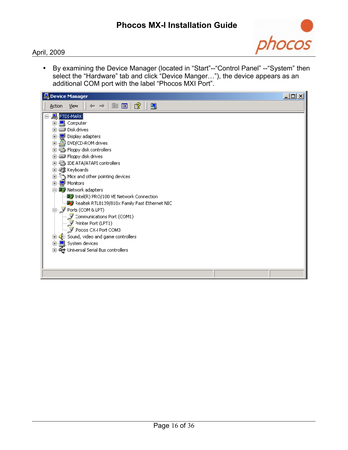

• By examining the Device Manager (located in "Start"--"Control Panel" --"System" then select the "Hardware" tab and click "Device Manger…"), the device appears as an additional COM port with the label "Phocos MXI Port".

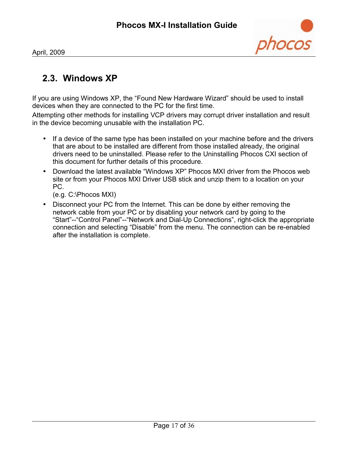

## **2.3. Windows XP**

If you are using Windows XP, the "Found New Hardware Wizard" should be used to install devices when they are connected to the PC for the first time.

Attempting other methods for installing VCP drivers may corrupt driver installation and result in the device becoming unusable with the installation PC.

- If a device of the same type has been installed on your machine before and the drivers that are about to be installed are different from those installed already, the original drivers need to be uninstalled. Please refer to the Uninstalling Phocos CXI section of this document for further details of this procedure.
- Download the latest available "Windows XP" Phocos MXI driver from the Phocos web site or from your Phocos MXI Driver USB stick and unzip them to a location on your PC.

(e.g. C:\Phocos MXI)

• Disconnect your PC from the Internet. This can be done by either removing the network cable from your PC or by disabling your network card by going to the "Start"--"Control Panel"--"Network and Dial-Up Connections", right-click the appropriate connection and selecting "Disable" from the menu. The connection can be re-enabled after the installation is complete.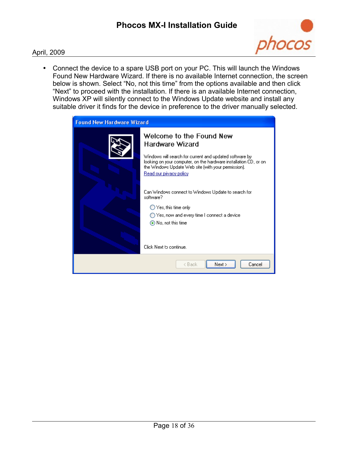

• Connect the device to a spare USB port on your PC. This will launch the Windows Found New Hardware Wizard. If there is no available Internet connection, the screen below is shown. Select "No, not this time" from the options available and then click "Next" to proceed with the installation. If there is an available Internet connection, Windows XP will silently connect to the Windows Update website and install any suitable driver it finds for the device in preference to the driver manually selected.

| <b>Found New Hardware Wizard</b> |                                                                                                                                                                                                                                                                                                                      |  |  |  |
|----------------------------------|----------------------------------------------------------------------------------------------------------------------------------------------------------------------------------------------------------------------------------------------------------------------------------------------------------------------|--|--|--|
|                                  | Welcome to the Found New<br>Hardware Wizard<br>Windows will search for current and updated software by:<br>looking on your computer, on the hardware installation CD, or on<br>the Windows Update Web site (with your permission).<br>Read our privacy policy<br>Can Windows connect to Windows Update to search for |  |  |  |
|                                  | software?<br>$\bigcirc$ Yes, this time only<br>◯ Yes, now and every time I connect a device<br>● No, not this time<br>Click Next to continue.                                                                                                                                                                        |  |  |  |
|                                  | Next<br>Cancel<br>< Back                                                                                                                                                                                                                                                                                             |  |  |  |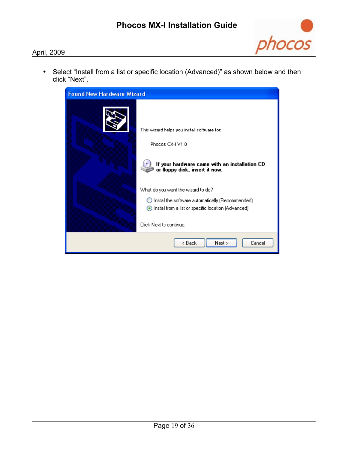

• Select "Install from a list or specific location (Advanced)" as shown below and then click "Next".

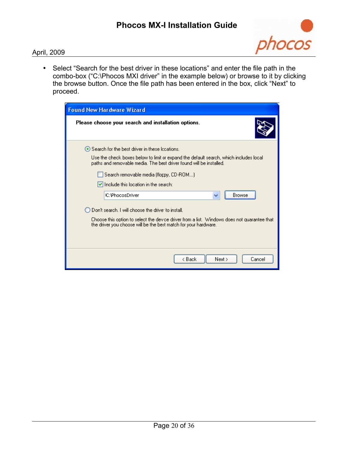

• Select "Search for the best driver in these locations" and enter the file path in the combo-box ("C:\Phocos MXI driver" in the example below) or browse to it by clicking the browse button. Once the file path has been entered in the box, click "Next" to proceed.

| <b>Found New Hardware Wizard</b>                                                                                                                                                                                 |
|------------------------------------------------------------------------------------------------------------------------------------------------------------------------------------------------------------------|
| Please choose your search and installation options.                                                                                                                                                              |
| ● Search for the best driver in these Iccations.<br>Use the check boxes below to limit or expand the default search, which includes local<br>paths and removable media. The best driver found will be installed. |
| Search removable media (floppy, CD-ROM)                                                                                                                                                                          |
| $\blacktriangleright$ Include this location in the search:                                                                                                                                                       |
| Browse<br><b>C:\PhocosDriver</b><br>v                                                                                                                                                                            |
| Don't search. I will choose the drive: to install.                                                                                                                                                               |
| Choose this option to select the device driver from a list. Windows does not quarantee that<br>the driver you choose will be the best match for your hardware.                                                   |
|                                                                                                                                                                                                                  |
| < Back<br>Next<br>Cancel                                                                                                                                                                                         |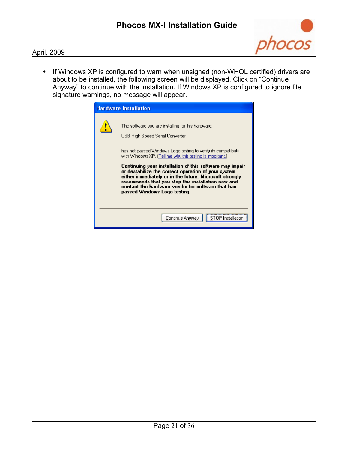

• If Windows XP is configured to warn when unsigned (non-WHQL certified) drivers are about to be installed, the following screen will be displayed. Click on "Continue Anyway" to continue with the installation. If Windows XP is configured to ignore file signature warnings, no message will appear.

| <b>Hardware Installation</b>                                                                                                                                                                                                                                                                                                                                                                                                                                                                                                                    |
|-------------------------------------------------------------------------------------------------------------------------------------------------------------------------------------------------------------------------------------------------------------------------------------------------------------------------------------------------------------------------------------------------------------------------------------------------------------------------------------------------------------------------------------------------|
| The software you are installing for this hardware:<br>USB High Speed Serial Converter<br>has not passed Windows Logo testing to verify its compatibility.<br>with Windows XP. [Tell me why this testing is important.]<br>Continuing your installation of this software may impair<br>or destabilize the correct operation of your system<br>either immediately or in the future. Microsoft strongly<br>recommends that you stop this installation now and<br>contact the hardware vendor for software that has<br>passed Windows Logo testing. |
| Continue Anyway                                                                                                                                                                                                                                                                                                                                                                                                                                                                                                                                 |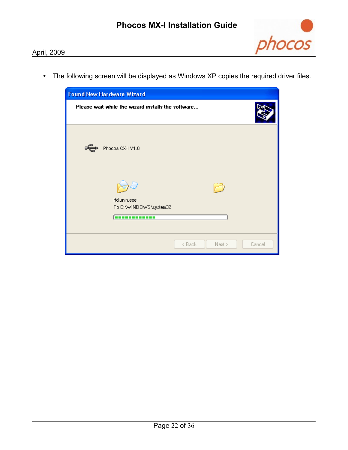

• The following screen will be displayed as Windows XP copies the required driver files.

| <b>Found New Hardware Wizard</b>                       |                            |  |  |  |  |
|--------------------------------------------------------|----------------------------|--|--|--|--|
| Please wait while the wizard installs the software     |                            |  |  |  |  |
| Phocos CX-I V1.0                                       |                            |  |  |  |  |
| ftdiunin.exe<br>To C:\WINDOWS\system32<br>------------ |                            |  |  |  |  |
|                                                        | < Back<br>Next ><br>Cancel |  |  |  |  |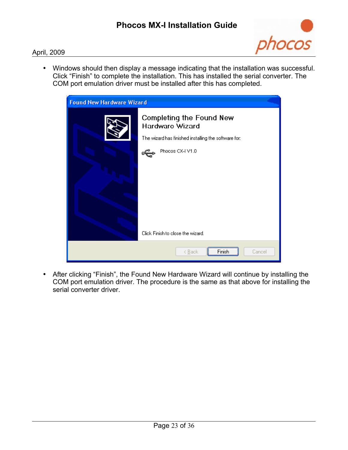

• Windows should then display a message indicating that the installation was successful. Click "Finish" to complete the installation. This has installed the serial converter. The COM port emulation driver must be installed after this has completed.



• After clicking "Finish", the Found New Hardware Wizard will continue by installing the COM port emulation driver. The procedure is the same as that above for installing the serial converter driver.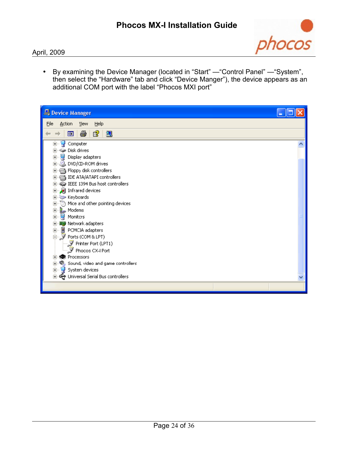

• By examining the Device Manager (located in "Start" —"Control Panel" —"System", then select the "Hardware" tab and click "Device Manger"), the device appears as an additional COM port with the label "Phocos MXI port"

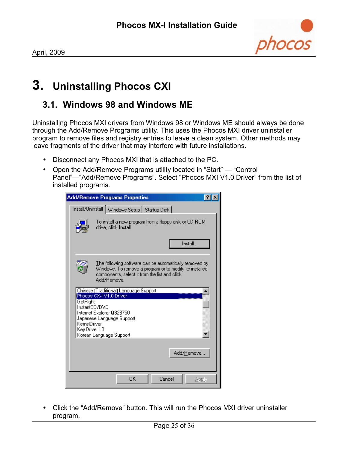# <span id="page-24-0"></span>**3. Uninstalling Phocos CXI**

### **3.1. Windows 98 and Windows ME**

Uninstalling Phocos MXI drivers from Windows 98 or Windows ME should always be done through the Add/Remove Programs utility. This uses the Phocos MXI driver uninstaller program to remove files and registry entries to leave a clean system. Other methods may leave fragments of the driver that may interfere with future installations.

- Disconnect any Phocos MXI that is attached to the PC.
- Open the Add/Remove Programs utility located in "Start" "Control Panel"—"Add/Remove Programs". Select "Phocos MXI V1.0 Driver" from the list of installed programs.

|                                                                   | <b>Add/Remove Programs Properties</b>                                                                                                                                             |       |
|-------------------------------------------------------------------|-----------------------------------------------------------------------------------------------------------------------------------------------------------------------------------|-------|
|                                                                   | Install/Uninstall Windows Setup   Startup Disk                                                                                                                                    |       |
|                                                                   | To install a new program from a floppy disk or CD-ROM<br>drive, click Install.                                                                                                    |       |
|                                                                   | Install                                                                                                                                                                           |       |
|                                                                   | The following software can be automatically removed by<br>Windows. To remove a program or to modify its installed<br>components, select it from the list and click<br>Add/Remove. |       |
| <b>GetRight</b><br>InstantCD/DVD<br>KernelDriver<br>Key Drive 1.0 | Chinese (Traditional) Language Support<br>Phocos CX-I V1.0 Driver<br>Interret Explorer Q828750<br>Japanese Language Support<br>Korean Language Support                            |       |
|                                                                   | Add/Remove.                                                                                                                                                                       |       |
|                                                                   | Cancel<br>ΩK                                                                                                                                                                      | Apply |

• Click the "Add/Remove" button. This will run the Phocos MXI driver uninstaller program.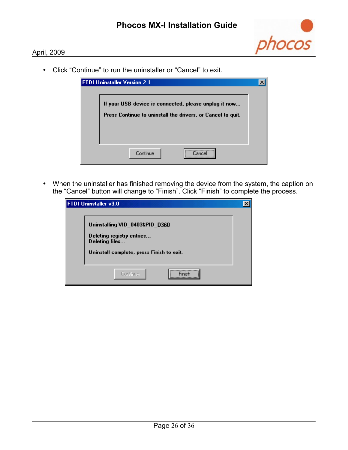

• Click "Continue" to run the uninstaller or "Cancel" to exit.

| <b>FTDI Uninstaller Version 2.1</b>                                                                                  |  |
|----------------------------------------------------------------------------------------------------------------------|--|
| If your USB device is connected, please unplug it now<br>Press Continue to uninstall the drivers, or Cancel to quit. |  |
| <br>Continue                                                                                                         |  |

• When the uninstaller has finished removing the device from the system, the caption on the "Cancel" button will change to "Finish". Click "Finish" to complete the process.

| FTDI Uninstaller v3.0                                                                                                      |  |
|----------------------------------------------------------------------------------------------------------------------------|--|
| Uninstalling VID_0403&PID_D360<br>Deleting registry entries<br>Deleting files<br>Uninstall complete, press Finish to exit. |  |
| Continue<br>Finish<br>                                                                                                     |  |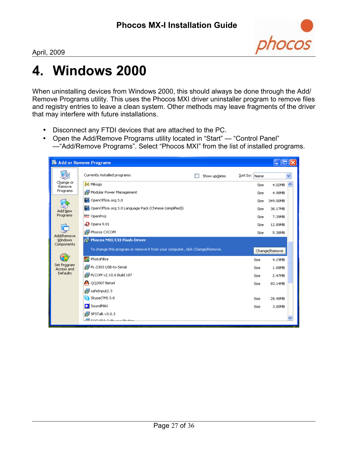

# **4. Windows 2000**

When uninstalling devices from Windows 2000, this should always be done through the Add/ Remove Programs utility. This uses the Phocos MXI driver uninstaller program to remove files and registry entries to leave a clean system. Other methods may leave fragments of the driver that may interfere with future installations.

- Disconnect any FTDI devices that are attached to the PC.
- Open the Add/Remove Programs utility located in "Start" "Control Panel" —"Add/Remove Programs". Select "Phocos MXI" from the list of installed programs.

|                           | <b>B</b> Add or Remove Programs                                              |              |               |               |
|---------------------------|------------------------------------------------------------------------------|--------------|---------------|---------------|
|                           | Currently installed programs:                                                | Show updates | Sort by: Name |               |
| Change or<br>Remove       | M Mikogo                                                                     |              | Size          | 4.02MB        |
| Programs                  | Modular Power Management                                                     |              | Size          | 4.98MB        |
|                           | OpenOffice.org 3.0                                                           |              | Size          | 349,00MB      |
| Add New                   | OpenOffice.org 3.0 Language Pack (Chinese (simplified))                      |              | Size          | 38.17MB       |
| Programs                  | <b>Pres</b> OpenProj                                                         |              | Size          | 7.39MB        |
|                           | $\bigodot$ Opera 9.01                                                        |              | Size          | 12.89MB       |
| Add/Remove                | 得 Phocos CXCOM                                                               |              | Size          | 5.38MB        |
| Windows<br>Components     | pe Phocos MXI/CXI Flash-Driver                                               |              |               |               |
|                           | To change this program or remove it from your computer, click Change/Remove. |              |               | Change/Remove |
|                           | $\left  \frac{1}{111} \right $ PhotoFiltre                                   |              | Size          | 4.19MB        |
| Set Program<br>Access and | PL-2303 USB-to-Serial                                                        |              | Size          | 1.08MB        |
| Defaults                  | PLCOM v2.10.6 Build 187                                                      |              | Size          | 2.47MB        |
|                           | <b>P</b> QQ2007 Beta4                                                        |              | Size          | 83.14MB       |
|                           | safeInput2.3                                                                 |              |               |               |
|                           | Skype(TM) 3.8                                                                |              | Size          | 28.48MB       |
|                           | SoundMAX                                                                     |              | Size          | 3.00MB        |
|                           | ip SPSTalk v3.0.3                                                            |              |               |               |
|                           | <u>del tocuma casuum madaa</u>                                               |              |               |               |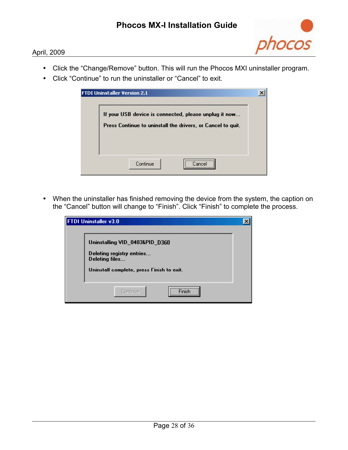

- Click the "Change/Remove" button. This will run the Phocos MXI uninstaller program.
- Click "Continue" to run the uninstaller or "Cancel" to exit.

| <b>FTDI Uninstaller Version 2.1</b>                                                                                  |  |
|----------------------------------------------------------------------------------------------------------------------|--|
| If your USB device is connected, please unplug it now<br>Press Continue to uninstall the drivers, or Cancel to quit. |  |
| <br>Continue                                                                                                         |  |

• When the uninstaller has finished removing the device from the system, the caption on the "Cancel" button will change to "Finish". Click "Finish" to complete the process.

| <b>FTDI Uninstaller v3.0</b>                                                                                               |  |
|----------------------------------------------------------------------------------------------------------------------------|--|
| Uninstalling VID_0403&PID_D360<br>Deleting registry entries<br>Deleting files<br>Uninstall complete, press Finish to exit. |  |
| <br>Continue<br>\                                                                                                          |  |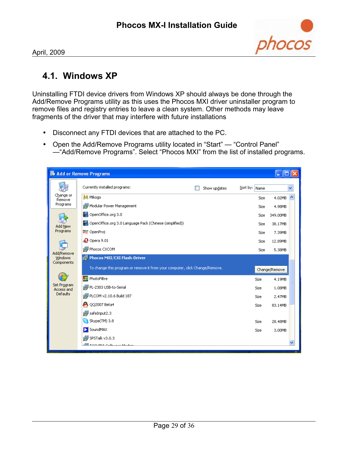

## **4.1. Windows XP**

Uninstalling FTDI device drivers from Windows XP should always be done through the Add/Remove Programs utility as this uses the Phocos MXI driver uninstaller program to remove files and registry entries to leave a clean system. Other methods may leave fragments of the driver that may interfere with future installations

- Disconnect any FTDI devices that are attached to the PC.
- Open the Add/Remove Programs utility located in "Start" "Control Panel" —"Add/Remove Programs". Select "Phocos MXI" from the list of installed programs.

|                              | <b>B</b> Add or Remove Programs                                              |              |               |               |
|------------------------------|------------------------------------------------------------------------------|--------------|---------------|---------------|
|                              | Currently installed programs:                                                | Show updates | Sort by: Name |               |
| Change or<br>Remove          | M Mikogo                                                                     |              | Size          | 4.02MB<br>◠   |
| Programs                     | Modular Power Management                                                     |              | Size          | 4.98MB        |
|                              | OpenOffice.org 3.0                                                           |              | Size          | 349.00MB      |
| Add New                      | OpenOffice.org 3.0 Language Pack (Chinese (simplified))                      |              | Size          | 38.17MB       |
| Programs                     | <b>Pres</b> OpenProj                                                         |              | Size          | 7.39MB        |
|                              | $\bigcirc$ Opera 9.01                                                        |              | Size          | 12.89MB       |
| Add/Remove                   | i Phocos CXCOM                                                               |              | Size          | 5.38MB        |
| <b>Windows</b><br>Components | Fig. Phocos MXI/CXI Flash-Driver                                             |              |               |               |
|                              | To change this program or remove it from your computer, click Change/Remove. |              |               | Change/Remove |
|                              | PhotoFiltre                                                                  |              | Size          | 4.19MB        |
| Set Program<br>Access and    | ip PL-2303 USB-to-Serial                                                     |              | Size          | 1.08MB        |
| Defaults                     | PLCOM v2.10.6 Build 187                                                      |              | Size          | 2.47MB        |
|                              | <b>P</b> QQ2007 Beta4                                                        |              | Size          | 83.14MB       |
|                              | 得 safeInput2.3                                                               |              |               |               |
|                              | Skype(TM) 3.8                                                                |              | Size          | 28.48MB       |
|                              | SoundMAX                                                                     |              | Size          | 3.00MB        |
|                              | 得 SPSTalk v3.0.3                                                             |              |               |               |
|                              | $\frac{dE}{dt}$ to curso calculate Mad                                       |              |               |               |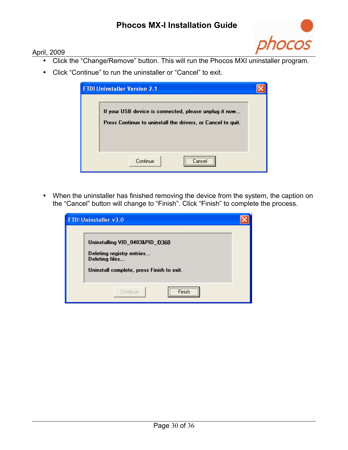ocos

#### April, 2009

- Click the "Change/Remove" button. This will run the Phocos MXI uninstaller program.
- Click "Continue" to run the uninstaller or "Cancel" to exit.

| <b>FTDI Uninstaller Version 2.1</b>                                                                                  |  |
|----------------------------------------------------------------------------------------------------------------------|--|
| If your USB device is connected, please unplug it now<br>Press Continue to uninstall the drivers, or Cancel to quit. |  |
| <br>Continue                                                                                                         |  |

• When the uninstaller has finished removing the device from the system, the caption on the "Cancel" button will change to "Finish". Click "Finish" to complete the process.

| <b>FTDI Uninstaller v3.0</b>                                                                                               |  |
|----------------------------------------------------------------------------------------------------------------------------|--|
| Uninstalling VID_0403&PID_D360<br>Deleting registry entries<br>Deleting files<br>Uninstall complete, press Finish to exit. |  |
| Continue                                                                                                                   |  |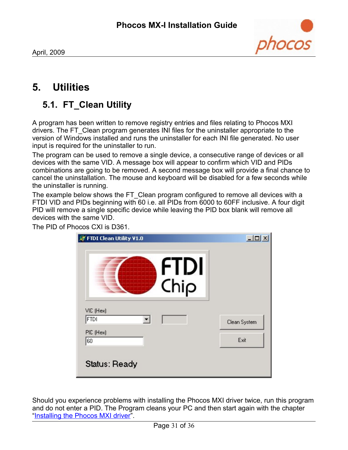

# **5. Utilities**

# **5.1. FT\_Clean Utility**

A program has been written to remove registry entries and files relating to Phocos MXI drivers. The FT\_Clean program generates INI files for the uninstaller appropriate to the version of Windows installed and runs the uninstaller for each INI file generated. No user input is required for the uninstaller to run.

The program can be used to remove a single device, a consecutive range of devices or all devices with the same VID. A message box will appear to confirm which VID and PIDs combinations are going to be removed. A second message box will provide a final chance to cancel the uninstallation. The mouse and keyboard will be disabled for a few seconds while the uninstaller is running.

The example below shows the FT\_Clean program configured to remove all devices with a FTDI VID and PIDs beginning with 60 i.e. all PIDs from 6000 to 60FF inclusive. A four digit PID will remove a single specific device while leaving the PID box blank will remove all devices with the same VID.

The PID of Phocos CXI is D361.

|                          | <b>FTDI</b> |              |
|--------------------------|-------------|--------------|
|                          | Chip        |              |
| VIC (Hex)<br><b>FTDI</b> |             | Clean System |
| PIC (Hex)<br>60          |             | Exit         |

Should you experience problems with installing the Phocos MXI driver twice, run this program and do not enter a PID. The Program cleans your PC and then start again with the chapter ["Installing the Phocos MXI driver"](#page-3-0).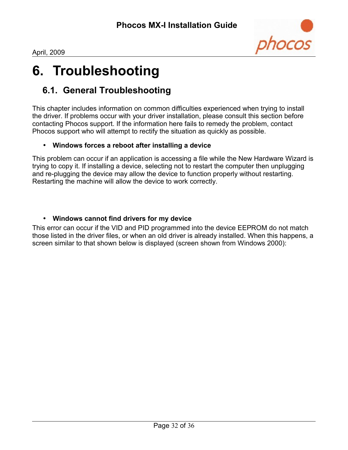

# **6. Troubleshooting**

## **6.1. General Troubleshooting**

This chapter includes information on common difficulties experienced when trying to install the driver. If problems occur with your driver installation, please consult this section before contacting Phocos support. If the information here fails to remedy the problem, contact Phocos support who will attempt to rectify the situation as quickly as possible.

#### • **Windows forces a reboot after installing a device**

This problem can occur if an application is accessing a file while the New Hardware Wizard is trying to copy it. If installing a device, selecting not to restart the computer then unplugging and re-plugging the device may allow the device to function properly without restarting. Restarting the machine will allow the device to work correctly.

#### • **Windows cannot find drivers for my device**

This error can occur if the VID and PID programmed into the device EEPROM do not match those listed in the driver files, or when an old driver is already installed. When this happens, a screen similar to that shown below is displayed (screen shown from Windows 2000):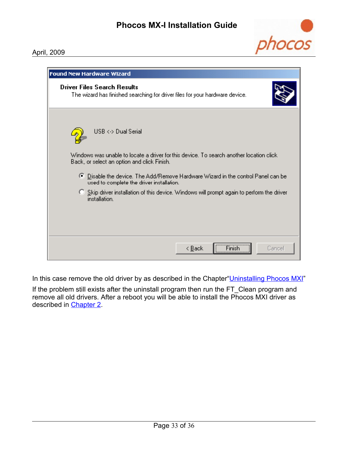

| <b>Found New Hardware Wizard</b>                                                                                                                                                                                                             |  |  |  |  |
|----------------------------------------------------------------------------------------------------------------------------------------------------------------------------------------------------------------------------------------------|--|--|--|--|
| <b>Driver Files Search Results</b><br>The wizard has finished searching for driver files for your hardware device.                                                                                                                           |  |  |  |  |
| USB <-> Dual Serial<br>Windows was unable to locate a driver for this device. To search another location click<br>Back, or select an option and click Finish.                                                                                |  |  |  |  |
| ⊙ Disable the device. The Add/Remove Hardware Wizard in the control Panel can be<br>used to complete the driver installation.<br>C Skip driver installation of this device. Windows will prompt again to perform the driver<br>installation. |  |  |  |  |
| Finish<br>< <u>B</u> ack<br>Cancel                                                                                                                                                                                                           |  |  |  |  |

In this case remove the old driver by as described in the Chapter" Uninstalling Phocos MXI"

If the problem still exists after the uninstall program then run the FT\_Clean program and remove all old drivers. After a reboot you will be able to install the Phocos MXI driver as described in [Chapter 2.](#page-3-0)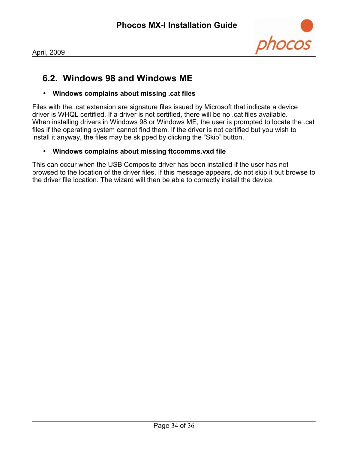

## **6.2. Windows 98 and Windows ME**

#### • **Windows complains about missing .cat files**

Files with the .cat extension are signature files issued by Microsoft that indicate a device driver is WHQL certified. If a driver is not certified, there will be no .cat files available. When installing drivers in Windows 98 or Windows ME, the user is prompted to locate the .cat files if the operating system cannot find them. If the driver is not certified but you wish to install it anyway, the files may be skipped by clicking the "Skip" button.

#### • **Windows complains about missing ftccomms.vxd file**

This can occur when the USB Composite driver has been installed if the user has not browsed to the location of the driver files. If this message appears, do not skip it but browse to the driver file location. The wizard will then be able to correctly install the device.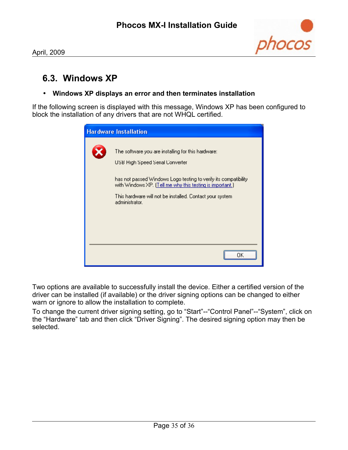

## **6.3. Windows XP**

#### • **Windows XP displays an error and then terminates installation**

If the following screen is displayed with this message, Windows XP has been configured to block the installation of any drivers that are not WHQL certified.

| <b>Hardware Installation</b> |                                                                                                                                                                                                                                                                                                      |  |
|------------------------------|------------------------------------------------------------------------------------------------------------------------------------------------------------------------------------------------------------------------------------------------------------------------------------------------------|--|
|                              | The software you are installing for this hardware:<br>USB High Speed Serial Converter<br>has not passed Windows Logo testing to verify its compatibility.<br>with Windows XP. (Tell me why this testing is important.)<br>This hardware will not be installed. Contact your system<br>administrator. |  |
|                              |                                                                                                                                                                                                                                                                                                      |  |

Two options are available to successfully install the device. Either a certified version of the driver can be installed (if available) or the driver signing options can be changed to either warn or ignore to allow the installation to complete.

To change the current driver signing setting, go to "Start"--"Control Panel"--"System", click on the "Hardware" tab and then click "Driver Signing". The desired signing option may then be selected.